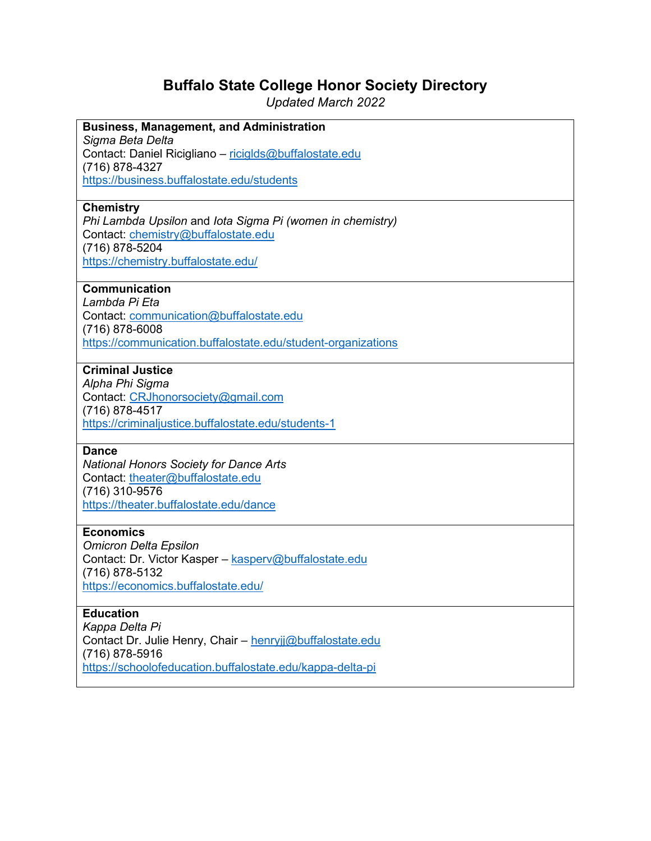# **Buffalo State College Honor Society Directory**

*Updated March 2022*

| <b>Business, Management, and Administration</b>              |
|--------------------------------------------------------------|
| Sigma Beta Delta                                             |
| Contact: Daniel Ricigliano - riciglds@buffalostate.edu       |
| (716) 878-4327                                               |
| https://business.buffalostate.edu/students                   |
|                                                              |
| <b>Chemistry</b>                                             |
| Phi Lambda Upsilon and lota Sigma Pi (women in chemistry)    |
| Contact: chemistry@buffalostate.edu                          |
| (716) 878-5204                                               |
| https://chemistry.buffalostate.edu/                          |
|                                                              |
| <b>Communication</b>                                         |
| Lambda Pi Eta                                                |
| Contact: communication@buffalostate.edu                      |
| (716) 878-6008                                               |
| https://communication.buffalostate.edu/student-organizations |
| <b>Criminal Justice</b>                                      |
| Alpha Phi Sigma                                              |
| Contact: CRJhonorsociety@gmail.com                           |
| (716) 878-4517                                               |
| https://criminaljustice.buffalostate.edu/students-1          |
|                                                              |
| <b>Dance</b>                                                 |
| <b>National Honors Society for Dance Arts</b>                |
| Contact: theater@buffalostate.edu                            |
| (716) 310-9576                                               |
| https://theater.buffalostate.edu/dance                       |
|                                                              |
| <b>Economics</b>                                             |
| <b>Omicron Delta Epsilon</b>                                 |
| Contact: Dr. Victor Kasper - kasperv@buffalostate.edu        |
| (716) 878-5132                                               |
| https://economics.buffalostate.edu/                          |
|                                                              |
| <b>Education</b>                                             |
| Kappa Delta Pi                                               |
| Contact Dr. Julie Henry, Chair - henryjj@buffalostate.edu    |
| (716) 878-5916                                               |
| https://schoolofeducation.buffalostate.edu/kappa-delta-pi    |
|                                                              |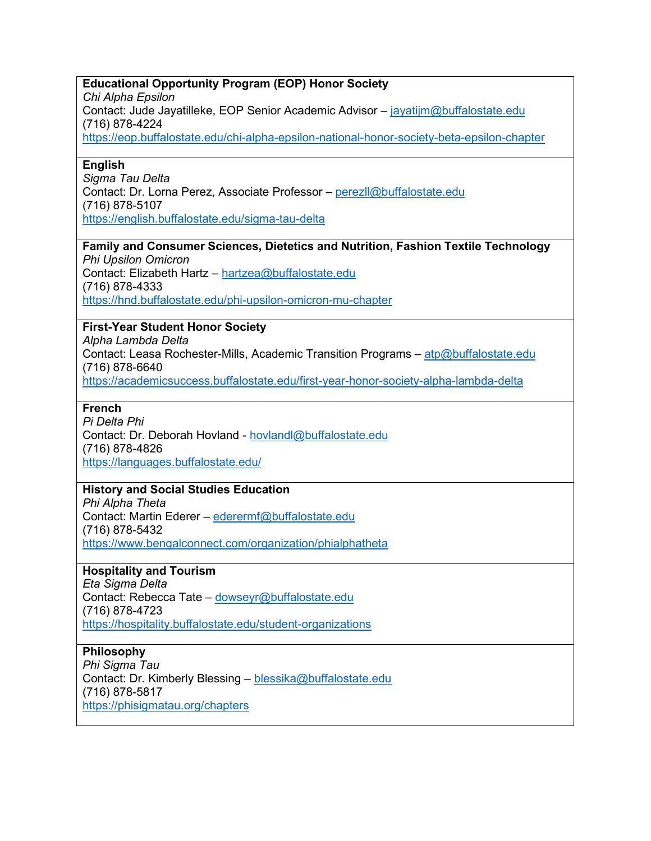# **Educational Opportunity Program (EOP) Honor Society**

*Chi Alpha Epsilon*

Contact: Jude Jayatilleke, EOP Senior Academic Advisor – [jayatijm@buffalostate.edu](mailto:jayatijm@buffalostate.edu) (716) 878-4224

<https://eop.buffalostate.edu/chi-alpha-epsilon-national-honor-society-beta-epsilon-chapter>

# **English**

*Sigma Tau Delta* Contact: Dr. Lorna Perez, Associate Professor – [perezll@buffalostate.edu](mailto:perezll@buffalostate.edu)  (716) 878-5107 <https://english.buffalostate.edu/sigma-tau-delta>

#### **Family and Consumer Sciences, Dietetics and Nutrition, Fashion Textile Technology** *Phi Upsilon Omicron*

Contact: Elizabeth Hartz – [hartzea@buffalostate.edu](mailto:hartzea@buffalostate.edu)  (716) 878-4333 <https://hnd.buffalostate.edu/phi-upsilon-omicron-mu-chapter>

# **First-Year Student Honor Society**

*Alpha Lambda Delta* Contact: Leasa Rochester-Mills, Academic Transition Programs – [atp@buffalostate.edu](mailto:atp@buffalostate.edu) (716) 878-6640 <https://academicsuccess.buffalostate.edu/first-year-honor-society-alpha-lambda-delta>

#### **French**

*Pi Delta Phi* Contact: Dr. Deborah Hovland - [hovlandl@buffalostate.edu](mailto:hovlandl@buffalostate.edu)  (716) 878-4826 <https://languages.buffalostate.edu/>

# **History and Social Studies Education**

*Phi Alpha Theta* Contact: Martin Ederer – [ederermf@buffalostate.edu](mailto:ederermf@buffalostate.edu) (716) 878-5432 <https://www.bengalconnect.com/organization/phialphatheta>

#### **Hospitality and Tourism**

*Eta Sigma Delta* Contact: Rebecca Tate – [dowseyr@buffalostate.edu](mailto:dowseyr@buffalostate.edu) (716) 878-4723 <https://hospitality.buffalostate.edu/student-organizations>

#### **Philosophy**

*Phi Sigma Tau* Contact: Dr. Kimberly Blessing – [blessika@buffalostate.edu](mailto:blessika@buffalostate.edu)  (716) 878-5817 <https://phisigmatau.org/chapters>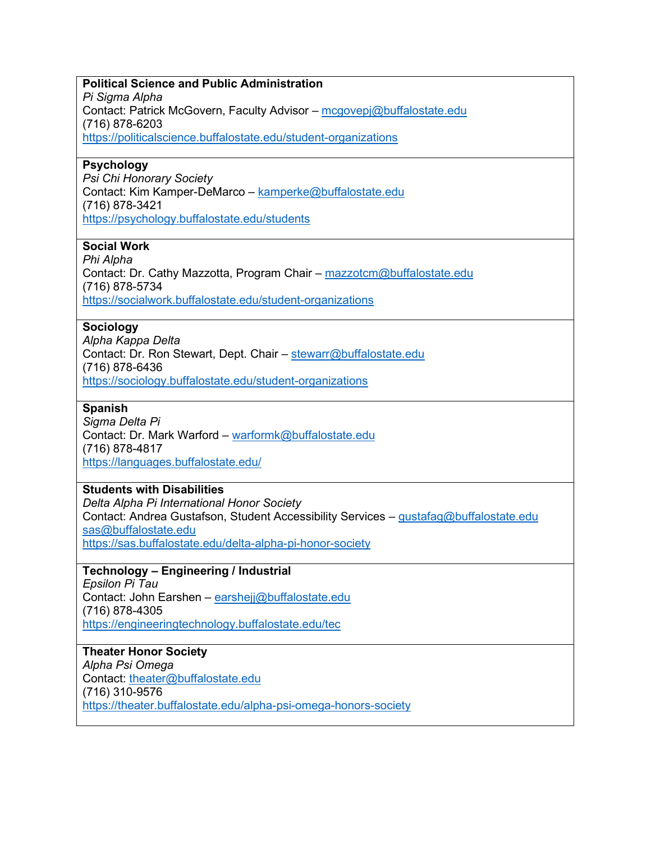| <b>Political Science and Public Administration</b>                                    |
|---------------------------------------------------------------------------------------|
| Pi Sigma Alpha                                                                        |
| Contact: Patrick McGovern, Faculty Advisor - mcgovepj@buffalostate.edu                |
| (716) 878-6203                                                                        |
| https://politicalscience.buffalostate.edu/student-organizations                       |
| <b>Psychology</b>                                                                     |
| Psi Chi Honorary Society                                                              |
| Contact: Kim Kamper-DeMarco - kamperke@buffalostate.edu                               |
| (716) 878-3421                                                                        |
| https://psychology.buffalostate.edu/students                                          |
| <b>Social Work</b>                                                                    |
| Phi Alpha                                                                             |
| Contact: Dr. Cathy Mazzotta, Program Chair - mazzotcm@buffalostate.edu                |
| (716) 878-5734                                                                        |
| https://socialwork.buffalostate.edu/student-organizations                             |
| <b>Sociology</b>                                                                      |
| Alpha Kappa Delta                                                                     |
| Contact: Dr. Ron Stewart, Dept. Chair - stewarr@buffalostate.edu                      |
| (716) 878-6436                                                                        |
| https://sociology.buffalostate.edu/student-organizations                              |
| <b>Spanish</b>                                                                        |
| Sigma Delta Pi                                                                        |
| Contact: Dr. Mark Warford - warformk@buffalostate.edu                                 |
| (716) 878-4817                                                                        |
| https://languages.buffalostate.edu/                                                   |
| <b>Students with Disabilities</b>                                                     |
| Delta Alpha Pi International Honor Society                                            |
| Contact: Andrea Gustafson, Student Accessibility Services - gustafag@buffalostate.edu |
| sas@buffalostate.edu<br>https://sas.buffalostate.edu/delta-alpha-pi-honor-society     |
|                                                                                       |
| Technology - Engineering / Industrial                                                 |
| Epsilon Pi Tau                                                                        |
| Contact: John Earshen - earshejj@buffalostate.edu                                     |
| (716) 878-4305<br>https://engineeringtechnology.buffalostate.edu/tec                  |
|                                                                                       |
| <b>Theater Honor Society</b>                                                          |
| Alpha Psi Omega                                                                       |
| Contact: theater@buffalostate.edu                                                     |
| (716) 310-9576<br>https://theater.buffalostate.edu/alpha-psi-omega-honors-society     |
|                                                                                       |
|                                                                                       |